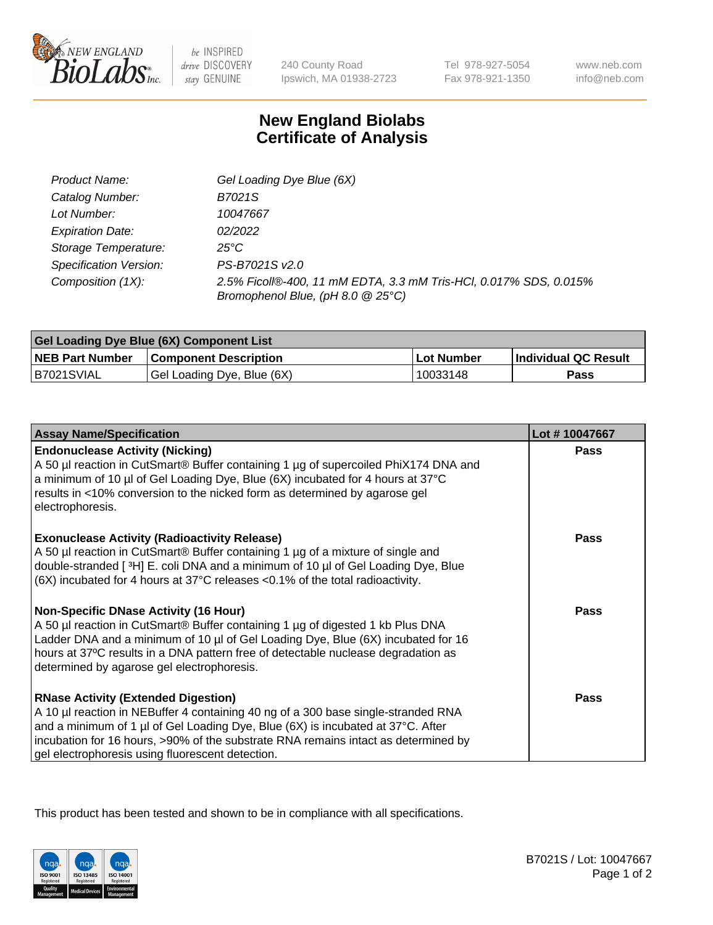

 $be$  INSPIRED drive DISCOVERY stay GENUINE

240 County Road Ipswich, MA 01938-2723 Tel 978-927-5054 Fax 978-921-1350 www.neb.com info@neb.com

## **New England Biolabs Certificate of Analysis**

| Product Name:           | Gel Loading Dye Blue (6X)                                                                              |
|-------------------------|--------------------------------------------------------------------------------------------------------|
| Catalog Number:         | B7021S                                                                                                 |
| Lot Number:             | 10047667                                                                                               |
| <b>Expiration Date:</b> | 02/2022                                                                                                |
| Storage Temperature:    | $25^{\circ}$ C                                                                                         |
| Specification Version:  | PS-B7021S v2.0                                                                                         |
| Composition (1X):       | 2.5% Ficoll®-400, 11 mM EDTA, 3.3 mM Tris-HCl, 0.017% SDS, 0.015%<br>Bromophenol Blue, (pH 8.0 @ 25°C) |

| <b>Gel Loading Dye Blue (6X) Component List</b> |                              |                   |                      |  |
|-------------------------------------------------|------------------------------|-------------------|----------------------|--|
| <b>NEB Part Number</b>                          | <b>Component Description</b> | <b>Lot Number</b> | Individual QC Result |  |
| B7021SVIAL                                      | Gel Loading Dye, Blue (6X)   | 10033148          | Pass                 |  |

| <b>Assay Name/Specification</b>                                                                                                                                                                                                                                                                                                                              | Lot #10047667 |
|--------------------------------------------------------------------------------------------------------------------------------------------------------------------------------------------------------------------------------------------------------------------------------------------------------------------------------------------------------------|---------------|
| <b>Endonuclease Activity (Nicking)</b><br>A 50 µl reaction in CutSmart® Buffer containing 1 µg of supercoiled PhiX174 DNA and<br>a minimum of 10 µl of Gel Loading Dye, Blue (6X) incubated for 4 hours at 37°C<br>results in <10% conversion to the nicked form as determined by agarose gel<br>electrophoresis.                                            | <b>Pass</b>   |
| <b>Exonuclease Activity (Radioactivity Release)</b><br>A 50 µl reaction in CutSmart® Buffer containing 1 µg of a mixture of single and<br>double-stranded [3H] E. coli DNA and a minimum of 10 µl of Gel Loading Dye, Blue<br>$(6X)$ incubated for 4 hours at 37 $^{\circ}$ C releases <0.1% of the total radioactivity.                                     | <b>Pass</b>   |
| <b>Non-Specific DNase Activity (16 Hour)</b><br>A 50 µl reaction in CutSmart® Buffer containing 1 µg of digested 1 kb Plus DNA<br>Ladder DNA and a minimum of 10 µl of Gel Loading Dye, Blue (6X) incubated for 16<br>hours at 37°C results in a DNA pattern free of detectable nuclease degradation as<br>determined by agarose gel electrophoresis.        | <b>Pass</b>   |
| <b>RNase Activity (Extended Digestion)</b><br>A 10 µl reaction in NEBuffer 4 containing 40 ng of a 300 base single-stranded RNA<br>and a minimum of 1 µl of Gel Loading Dye, Blue (6X) is incubated at 37°C. After<br>incubation for 16 hours, >90% of the substrate RNA remains intact as determined by<br>gel electrophoresis using fluorescent detection. | <b>Pass</b>   |

This product has been tested and shown to be in compliance with all specifications.